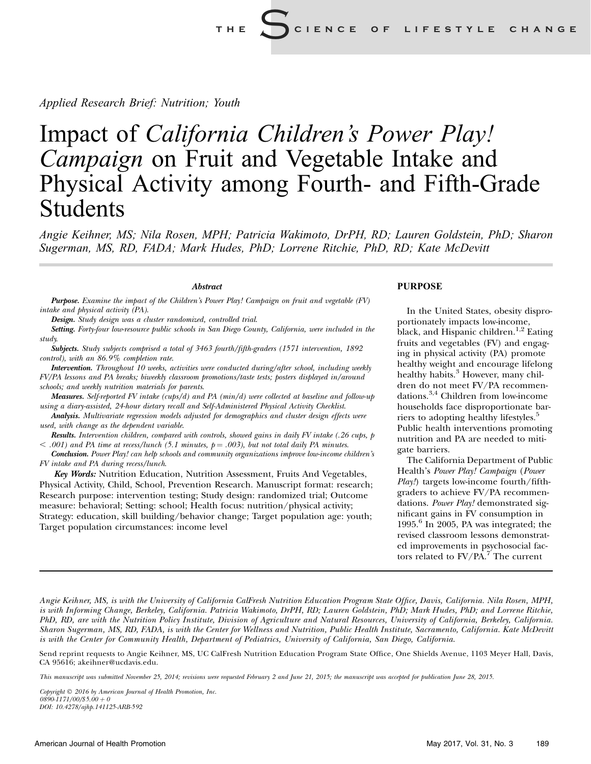Applied Research Brief: Nutrition; Youth

# Impact of California Children's Power Play! Campaign on Fruit and Vegetable Intake and Physical Activity among Fourth- and Fifth-Grade Students

Angie Keihner, MS; Nila Rosen, MPH; Patricia Wakimoto, DrPH, RD; Lauren Goldstein, PhD; Sharon Sugerman, MS, RD, FADA; Mark Hudes, PhD; Lorrene Ritchie, PhD, RD; Kate McDevitt

**Abstract** 

Purpose. Examine the impact of the Children's Power Play! Campaign on fruit and vegetable (FV) intake and physical activity (PA).

Design. Study design was a cluster randomized, controlled trial.

Setting. Forty-four low-resource public schools in San Diego County, California, were included in the study.

Subjects. Study subjects comprised a total of 3463 fourth/fifth-graders (1571 intervention, 1892) control), with an 86.9% completion rate.

Intervention. Throughout 10 weeks, activities were conducted during/after school, including weekly FV/PA lessons and PA breaks; biweekly classroom promotions/taste tests; posters displayed in/around schools; and weekly nutrition materials for parents.

Measures. Self-reported FV intake (cups/d) and PA (min/d) were collected at baseline and follow-up using a diary-assisted, 24-hour dietary recall and Self-Administered Physical Activity Checklist.

Analysis. Multivariate regression models adjusted for demographics and cluster design effects were used, with change as the dependent variable.

Results. Intervention children, compared with controls, showed gains in daily FV intake (.26 cups, p  $<$  .001) and PA time at recess/lunch (5.1 minutes,  $p = .003$ ), but not total daily PA minutes.

Conclusion. Power Play! can help schools and community organizations improve low-income children's FV intake and PA during recess/lunch.

Key Words: Nutrition Education, Nutrition Assessment, Fruits And Vegetables, Physical Activity, Child, School, Prevention Research. Manuscript format: research; Research purpose: intervention testing; Study design: randomized trial; Outcome measure: behavioral; Setting: school; Health focus: nutrition/physical activity; Strategy: education, skill building/behavior change; Target population age: youth; Target population circumstances: income level

## PURPOSE

In the United States, obesity disproportionately impacts low-income, black, and Hispanic children.<sup>1,2</sup> Eating fruits and vegetables (FV) and engaging in physical activity (PA) promote healthy weight and encourage lifelong healthy habits.<sup>3</sup> However, many children do not meet FV/PA recommendations.3,4 Children from low-income households face disproportionate barriers to adopting healthy lifestyles.<sup>5</sup> Public health interventions promoting nutrition and PA are needed to mitigate barriers.

The California Department of Public Health's Power Play! Campaign (Power Play!) targets low-income fourth/fifthgraders to achieve FV/PA recommendations. Power Play! demonstrated significant gains in FV consumption in 1995. $6$  In 2005, PA was integrated; the revised classroom lessons demonstrated improvements in psychosocial factors related to  $\text{FV}/\text{PA}$ .<sup>7</sup> The current

Angie Keihner, MS, is with the University of California CalFresh Nutrition Education Program State Office, Davis, California. Nila Rosen, MPH, is with Informing Change, Berkeley, California. Patricia Wakimoto, DrPH, RD; Lauren Goldstein, PhD; Mark Hudes, PhD; and Lorrene Ritchie, PhD, RD, are with the Nutrition Policy Institute, Division of Agriculture and Natural Resources, University of California, Berkeley, California. Sharon Sugerman, MS, RD, FADA, is with the Center for Wellness and Nutrition, Public Health Institute, Sacramento, California. Kate McDevitt is with the Center for Community Health, Department of Pediatrics, University of California, San Diego, California.

Send reprint requests to Angie Keihner, MS, UC CalFresh Nutrition Education Program State Office, One Shields Avenue, 1103 Meyer Hall, Davis, CA 95616; akeihner@ucdavis.edu.

This manuscript was submitted November 25, 2014; revisions were requested February 2 and June 21, 2015; the manuscript was accepted for publication June 28, 2015.

Copyright  $\odot$  2016 by American Journal of Health Promotion, Inc.  $0890 - 1171/00/85.00 + 0$ DOI: 10.4278/ajhp.141125-ARB-592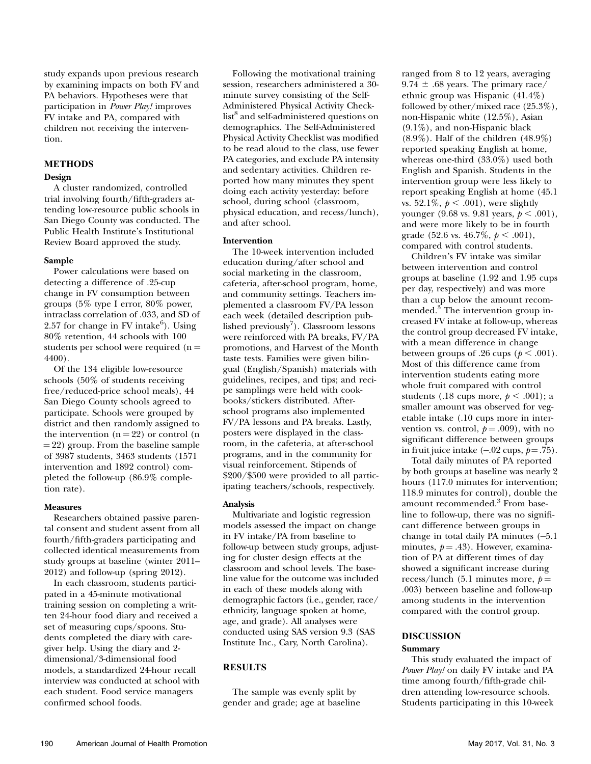study expands upon previous research by examining impacts on both FV and PA behaviors. Hypotheses were that participation in Power Play! improves FV intake and PA, compared with children not receiving the intervention.

# **METHODS**

A cluster randomized, controlled trial involving fourth/fifth-graders attending low-resource public schools in San Diego County was conducted. The Public Health Institute's Institutional Review Board approved the study.

Power calculations were based on detecting a difference of .25-cup change in FV consumption between groups (5% type I error, 80% power, intraclass correlation of .033, and SD of 2.57 for change in FV intake $^6$ ). Using 80% retention, 44 schools with 100 students per school were required  $(n =$ 4400).

Of the 134 eligible low-resource schools (50% of students receiving free/reduced-price school meals), 44 San Diego County schools agreed to participate. Schools were grouped by district and then randomly assigned to the intervention  $(n = 22)$  or control  $(n = 22)$  $= 22$ ) group. From the baseline sample of 3987 students, 3463 students (1571 intervention and 1892 control) completed the follow-up (86.9% completion rate).

Researchers obtained passive parental consent and student assent from all fourth/fifth-graders participating and collected identical measurements from study groups at baseline (winter 2011– 2012) and follow-up (spring 2012).

In each classroom, students participated in a 45-minute motivational training session on completing a written 24-hour food diary and received a set of measuring cups/spoons. Students completed the diary with caregiver help. Using the diary and 2 dimensional/3-dimensional food models, a standardized 24-hour recall interview was conducted at school with each student. Food service managers confirmed school foods.

Following the motivational training session, researchers administered a 30 minute survey consisting of the Self-Administered Physical Activity Checklist<sup>8</sup> and self-administered questions on demographics. The Self-Administered Physical Activity Checklist was modified to be read aloud to the class, use fewer PA categories, and exclude PA intensity and sedentary activities. Children reported how many minutes they spent doing each activity yesterday: before school, during school (classroom, physical education, and recess/lunch), and after school.

## **Intervention**

The 10-week intervention included education during/after school and social marketing in the classroom, cafeteria, after-school program, home, and community settings. Teachers implemented a classroom FV/PA lesson each week (detailed description published previously<sup>7</sup>). Classroom lessons were reinforced with PA breaks, FV/PA promotions, and Harvest of the Month taste tests. Families were given bilingual (English/Spanish) materials with guidelines, recipes, and tips; and recipe samplings were held with cookbooks/stickers distributed. Afterschool programs also implemented FV/PA lessons and PA breaks. Lastly, posters were displayed in the classroom, in the cafeteria, at after-school programs, and in the community for visual reinforcement. Stipends of \$200/\$500 were provided to all participating teachers/schools, respectively.

Analysis Multivariate and logistic regression models assessed the impact on change in FV intake/PA from baseline to follow-up between study groups, adjusting for cluster design effects at the classroom and school levels. The baseline value for the outcome was included in each of these models along with demographic factors (i.e., gender, race/ ethnicity, language spoken at home, age, and grade). All analyses were conducted using SAS version 9.3 (SAS Institute Inc., Cary, North Carolina).

# RESULTS

The sample was evenly split by gender and grade; age at baseline ranged from 8 to 12 years, averaging 9.74  $\pm$  .68 years. The primary race/ ethnic group was Hispanic (41.4%) followed by other/mixed race (25.3%), non-Hispanic white (12.5%), Asian (9.1%), and non-Hispanic black (8.9%). Half of the children (48.9%) reported speaking English at home, whereas one-third (33.0%) used both English and Spanish. Students in the intervention group were less likely to report speaking English at home (45.1 vs. 52.1\%,  $p < .001$ ), were slightly younger (9.68 vs. 9.81 years,  $p < .001$ ), and were more likely to be in fourth grade (52.6 vs. 46.7%,  $p < .001$ ), compared with control students.

Children's FV intake was similar between intervention and control groups at baseline (1.92 and 1.95 cups per day, respectively) and was more than a cup below the amount recommended.<sup>3</sup> The intervention group increased FV intake at follow-up, whereas the control group decreased FV intake, with a mean difference in change between groups of .26 cups ( $p < .001$ ). Most of this difference came from intervention students eating more whole fruit compared with control students (.18 cups more,  $p < .001$ ); a smaller amount was observed for vegetable intake (.10 cups more in intervention vs. control,  $p = .009$ ), with no significant difference between groups in fruit juice intake  $(-.02 \text{ cups}, p=.75)$ .

Total daily minutes of PA reported by both groups at baseline was nearly 2 hours (117.0 minutes for intervention; 118.9 minutes for control), double the amount recommended.<sup>3</sup> From baseline to follow-up, there was no significant difference between groups in change in total daily PA minutes (-5.1 minutes,  $p = .43$ ). However, examination of PA at different times of day showed a significant increase during recess/lunch (5.1 minutes more,  $p =$ .003) between baseline and follow-up among students in the intervention compared with the control group.

# DISCUSSION

This study evaluated the impact of Power Play! on daily FV intake and PA time among fourth/fifth-grade children attending low-resource schools. Students participating in this 10-week